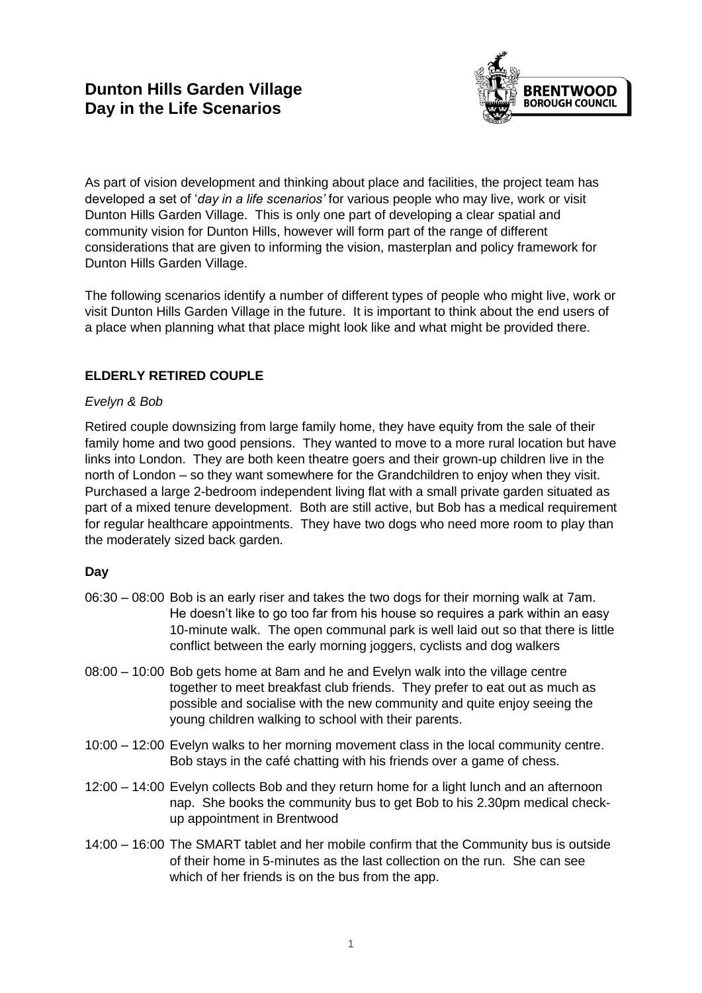

As part of vision development and thinking about place and facilities, the project team has developed a set of '*day in a life scenarios'* for various people who may live, work or visit Dunton Hills Garden Village. This is only one part of developing a clear spatial and community vision for Dunton Hills, however will form part of the range of different considerations that are given to informing the vision, masterplan and policy framework for Dunton Hills Garden Village.

The following scenarios identify a number of different types of people who might live, work or visit Dunton Hills Garden Village in the future. It is important to think about the end users of a place when planning what that place might look like and what might be provided there.

# **ELDERLY RETIRED COUPLE**

## *Evelyn & Bob*

Retired couple downsizing from large family home, they have equity from the sale of their family home and two good pensions. They wanted to move to a more rural location but have links into London. They are both keen theatre goers and their grown-up children live in the north of London – so they want somewhere for the Grandchildren to enjoy when they visit. Purchased a large 2-bedroom independent living flat with a small private garden situated as part of a mixed tenure development. Both are still active, but Bob has a medical requirement for regular healthcare appointments. They have two dogs who need more room to play than the moderately sized back garden.

### **Day**

- 06:30 08:00 Bob is an early riser and takes the two dogs for their morning walk at 7am. He doesn't like to go too far from his house so requires a park within an easy 10-minute walk. The open communal park is well laid out so that there is little conflict between the early morning joggers, cyclists and dog walkers
- 08:00 10:00 Bob gets home at 8am and he and Evelyn walk into the village centre together to meet breakfast club friends. They prefer to eat out as much as possible and socialise with the new community and quite enjoy seeing the young children walking to school with their parents.
- 10:00 12:00 Evelyn walks to her morning movement class in the local community centre. Bob stays in the café chatting with his friends over a game of chess.
- 12:00 14:00 Evelyn collects Bob and they return home for a light lunch and an afternoon nap. She books the community bus to get Bob to his 2.30pm medical checkup appointment in Brentwood
- 14:00 16:00 The SMART tablet and her mobile confirm that the Community bus is outside of their home in 5-minutes as the last collection on the run. She can see which of her friends is on the bus from the app.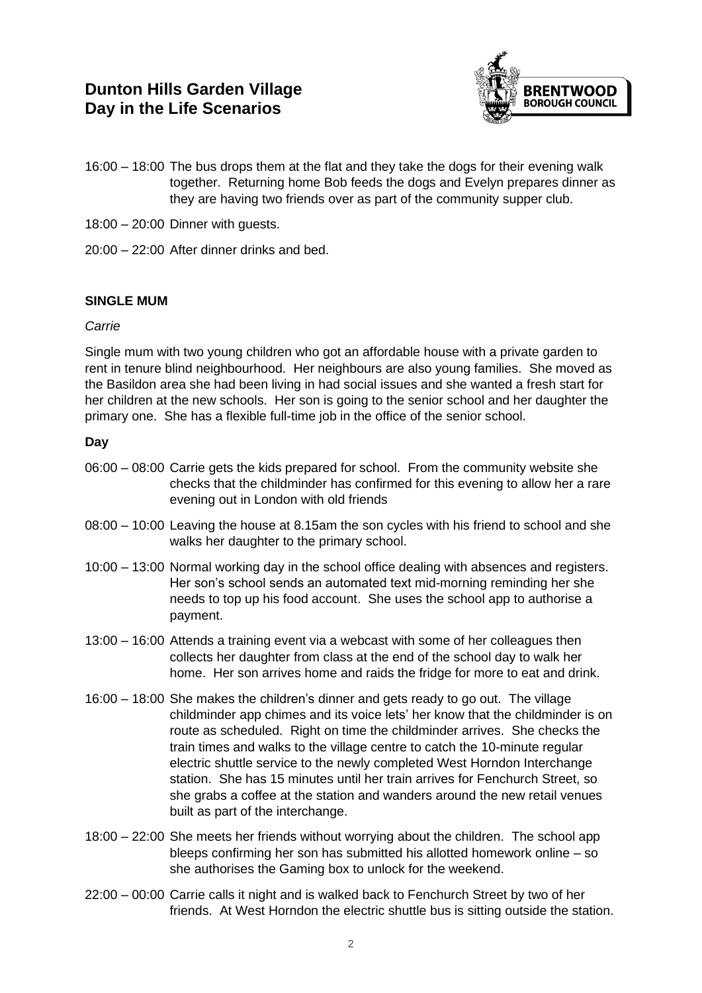# **Dunton Hills Garden Village Day in the Life Scenarios**



- 16:00 18:00 The bus drops them at the flat and they take the dogs for their evening walk together. Returning home Bob feeds the dogs and Evelyn prepares dinner as they are having two friends over as part of the community supper club.
- 18:00 20:00 Dinner with guests.
- 20:00 22:00 After dinner drinks and bed.

### **SINGLE MUM**

#### *Carrie*

Single mum with two young children who got an affordable house with a private garden to rent in tenure blind neighbourhood. Her neighbours are also young families. She moved as the Basildon area she had been living in had social issues and she wanted a fresh start for her children at the new schools. Her son is going to the senior school and her daughter the primary one. She has a flexible full-time job in the office of the senior school.

#### **Day**

- 06:00 08:00 Carrie gets the kids prepared for school. From the community website she checks that the childminder has confirmed for this evening to allow her a rare evening out in London with old friends
- 08:00 10:00 Leaving the house at 8.15am the son cycles with his friend to school and she walks her daughter to the primary school.
- 10:00 13:00 Normal working day in the school office dealing with absences and registers. Her son's school sends an automated text mid-morning reminding her she needs to top up his food account. She uses the school app to authorise a payment.
- 13:00 16:00 Attends a training event via a webcast with some of her colleagues then collects her daughter from class at the end of the school day to walk her home. Her son arrives home and raids the fridge for more to eat and drink.
- 16:00 18:00 She makes the children's dinner and gets ready to go out. The village childminder app chimes and its voice lets' her know that the childminder is on route as scheduled. Right on time the childminder arrives. She checks the train times and walks to the village centre to catch the 10-minute regular electric shuttle service to the newly completed West Horndon Interchange station. She has 15 minutes until her train arrives for Fenchurch Street, so she grabs a coffee at the station and wanders around the new retail venues built as part of the interchange.
- 18:00 22:00 She meets her friends without worrying about the children. The school app bleeps confirming her son has submitted his allotted homework online – so she authorises the Gaming box to unlock for the weekend.
- 22:00 00:00 Carrie calls it night and is walked back to Fenchurch Street by two of her friends. At West Horndon the electric shuttle bus is sitting outside the station.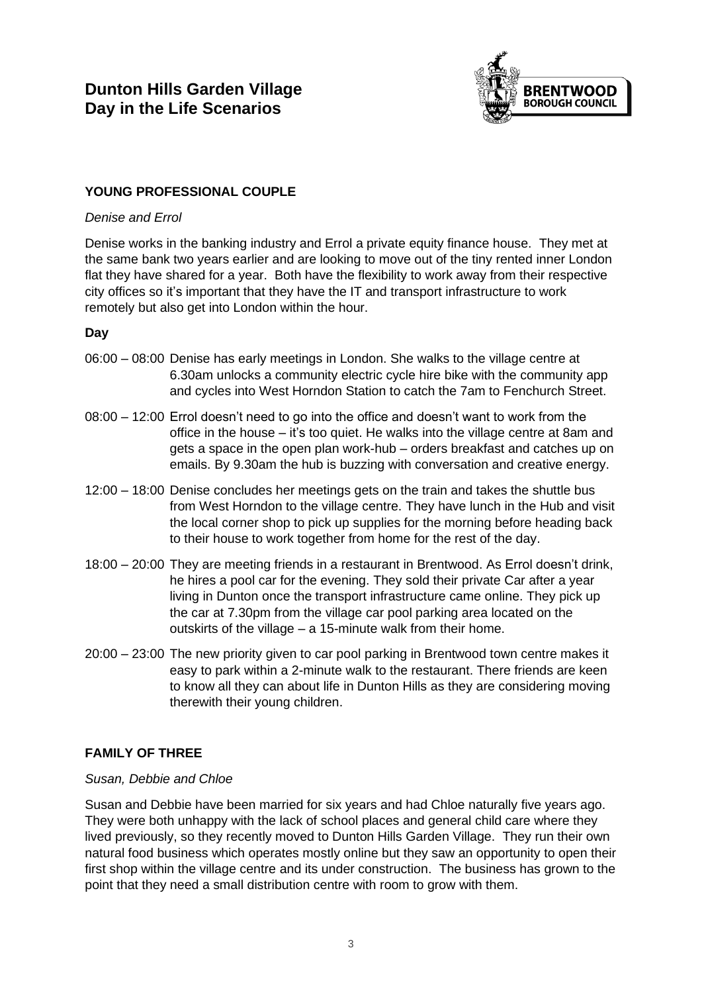

## **YOUNG PROFESSIONAL COUPLE**

#### *Denise and Errol*

Denise works in the banking industry and Errol a private equity finance house. They met at the same bank two years earlier and are looking to move out of the tiny rented inner London flat they have shared for a year. Both have the flexibility to work away from their respective city offices so it's important that they have the IT and transport infrastructure to work remotely but also get into London within the hour.

### **Day**

- 06:00 08:00 Denise has early meetings in London. She walks to the village centre at 6.30am unlocks a community electric cycle hire bike with the community app and cycles into West Horndon Station to catch the 7am to Fenchurch Street.
- 08:00 12:00 Errol doesn't need to go into the office and doesn't want to work from the office in the house – it's too quiet. He walks into the village centre at 8am and gets a space in the open plan work-hub – orders breakfast and catches up on emails. By 9.30am the hub is buzzing with conversation and creative energy.
- 12:00 18:00 Denise concludes her meetings gets on the train and takes the shuttle bus from West Horndon to the village centre. They have lunch in the Hub and visit the local corner shop to pick up supplies for the morning before heading back to their house to work together from home for the rest of the day.
- 18:00 20:00 They are meeting friends in a restaurant in Brentwood. As Errol doesn't drink, he hires a pool car for the evening. They sold their private Car after a year living in Dunton once the transport infrastructure came online. They pick up the car at 7.30pm from the village car pool parking area located on the outskirts of the village – a 15-minute walk from their home.
- 20:00 23:00 The new priority given to car pool parking in Brentwood town centre makes it easy to park within a 2-minute walk to the restaurant. There friends are keen to know all they can about life in Dunton Hills as they are considering moving therewith their young children.

### **FAMILY OF THREE**

### *Susan, Debbie and Chloe*

Susan and Debbie have been married for six years and had Chloe naturally five years ago. They were both unhappy with the lack of school places and general child care where they lived previously, so they recently moved to Dunton Hills Garden Village. They run their own natural food business which operates mostly online but they saw an opportunity to open their first shop within the village centre and its under construction. The business has grown to the point that they need a small distribution centre with room to grow with them.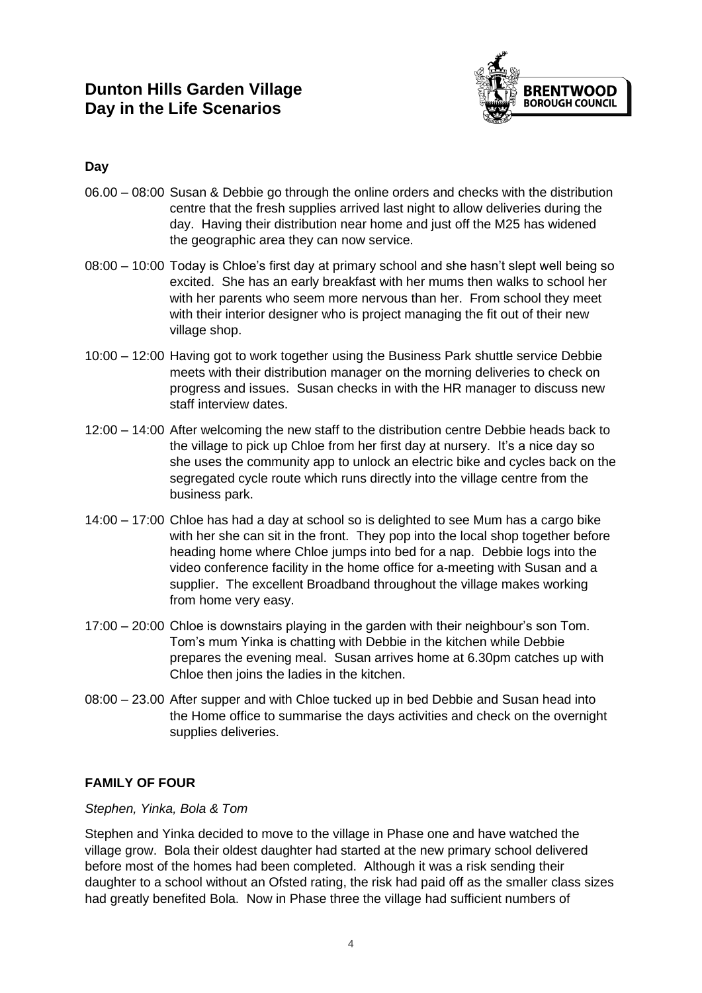

## **Day**

- 06.00 08:00 Susan & Debbie go through the online orders and checks with the distribution centre that the fresh supplies arrived last night to allow deliveries during the day. Having their distribution near home and just off the M25 has widened the geographic area they can now service.
- 08:00 10:00 Today is Chloe's first day at primary school and she hasn't slept well being so excited. She has an early breakfast with her mums then walks to school her with her parents who seem more nervous than her. From school they meet with their interior designer who is project managing the fit out of their new village shop.
- 10:00 12:00 Having got to work together using the Business Park shuttle service Debbie meets with their distribution manager on the morning deliveries to check on progress and issues. Susan checks in with the HR manager to discuss new staff interview dates.
- 12:00 14:00 After welcoming the new staff to the distribution centre Debbie heads back to the village to pick up Chloe from her first day at nursery. It's a nice day so she uses the community app to unlock an electric bike and cycles back on the segregated cycle route which runs directly into the village centre from the business park.
- 14:00 17:00 Chloe has had a day at school so is delighted to see Mum has a cargo bike with her she can sit in the front. They pop into the local shop together before heading home where Chloe jumps into bed for a nap. Debbie logs into the video conference facility in the home office for a-meeting with Susan and a supplier. The excellent Broadband throughout the village makes working from home very easy.
- 17:00 20:00 Chloe is downstairs playing in the garden with their neighbour's son Tom. Tom's mum Yinka is chatting with Debbie in the kitchen while Debbie prepares the evening meal. Susan arrives home at 6.30pm catches up with Chloe then joins the ladies in the kitchen.
- 08:00 23.00 After supper and with Chloe tucked up in bed Debbie and Susan head into the Home office to summarise the days activities and check on the overnight supplies deliveries.

# **FAMILY OF FOUR**

### *Stephen, Yinka, Bola & Tom*

Stephen and Yinka decided to move to the village in Phase one and have watched the village grow. Bola their oldest daughter had started at the new primary school delivered before most of the homes had been completed. Although it was a risk sending their daughter to a school without an Ofsted rating, the risk had paid off as the smaller class sizes had greatly benefited Bola. Now in Phase three the village had sufficient numbers of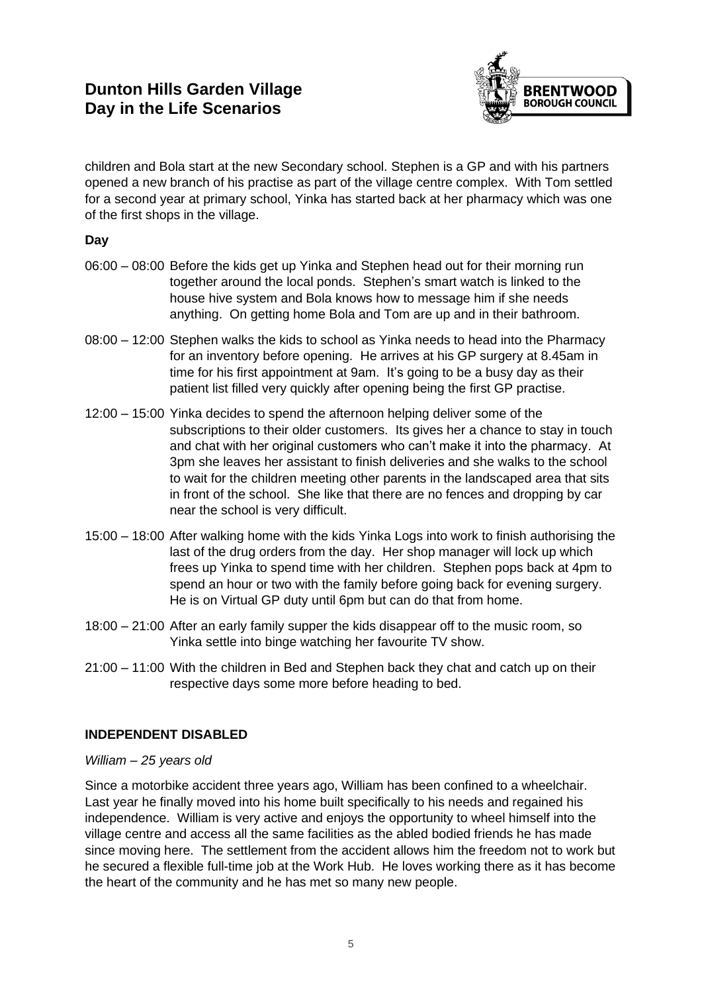# **Dunton Hills Garden Village Day in the Life Scenarios**



children and Bola start at the new Secondary school. Stephen is a GP and with his partners opened a new branch of his practise as part of the village centre complex. With Tom settled for a second year at primary school, Yinka has started back at her pharmacy which was one of the first shops in the village.

## **Day**

- 06:00 08:00 Before the kids get up Yinka and Stephen head out for their morning run together around the local ponds. Stephen's smart watch is linked to the house hive system and Bola knows how to message him if she needs anything. On getting home Bola and Tom are up and in their bathroom.
- 08:00 12:00 Stephen walks the kids to school as Yinka needs to head into the Pharmacy for an inventory before opening. He arrives at his GP surgery at 8.45am in time for his first appointment at 9am. It's going to be a busy day as their patient list filled very quickly after opening being the first GP practise.
- 12:00 15:00 Yinka decides to spend the afternoon helping deliver some of the subscriptions to their older customers. Its gives her a chance to stay in touch and chat with her original customers who can't make it into the pharmacy. At 3pm she leaves her assistant to finish deliveries and she walks to the school to wait for the children meeting other parents in the landscaped area that sits in front of the school. She like that there are no fences and dropping by car near the school is very difficult.
- 15:00 18:00 After walking home with the kids Yinka Logs into work to finish authorising the last of the drug orders from the day. Her shop manager will lock up which frees up Yinka to spend time with her children. Stephen pops back at 4pm to spend an hour or two with the family before going back for evening surgery. He is on Virtual GP duty until 6pm but can do that from home.
- 18:00 21:00 After an early family supper the kids disappear off to the music room, so Yinka settle into binge watching her favourite TV show.
- 21:00 11:00 With the children in Bed and Stephen back they chat and catch up on their respective days some more before heading to bed.

## **INDEPENDENT DISABLED**

#### *William – 25 years old*

Since a motorbike accident three years ago, William has been confined to a wheelchair. Last year he finally moved into his home built specifically to his needs and regained his independence. William is very active and enjoys the opportunity to wheel himself into the village centre and access all the same facilities as the abled bodied friends he has made since moving here. The settlement from the accident allows him the freedom not to work but he secured a flexible full-time job at the Work Hub. He loves working there as it has become the heart of the community and he has met so many new people.